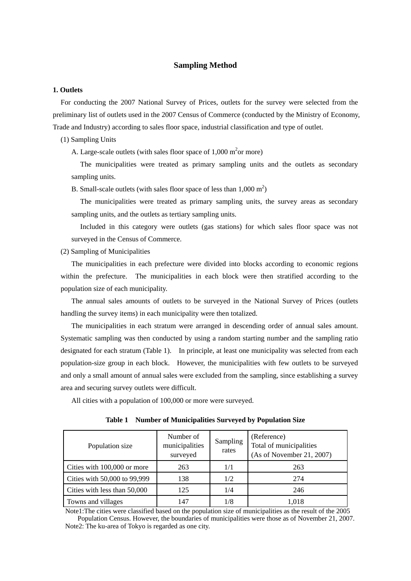## **Sampling Method**

# **1. Outlets**

For conducting the 2007 National Survey of Prices, outlets for the survey were selected from the preliminary list of outlets used in the 2007 Census of Commerce (conducted by the Ministry of Economy, Trade and Industry) according to sales floor space, industrial classification and type of outlet.

(1) Sampling Units

A. Large-scale outlets (with sales floor space of  $1,000 \text{ m}^2$  or more)

The municipalities were treated as primary sampling units and the outlets as secondary sampling units.

B. Small-scale outlets (with sales floor space of less than  $1,000 \text{ m}^2$ )

The municipalities were treated as primary sampling units, the survey areas as secondary sampling units, and the outlets as tertiary sampling units.

Included in this category were outlets (gas stations) for which sales floor space was not surveyed in the Census of Commerce.

(2) Sampling of Municipalities

The municipalities in each prefecture were divided into blocks according to economic regions within the prefecture. The municipalities in each block were then stratified according to the population size of each municipality.

The annual sales amounts of outlets to be surveyed in the National Survey of Prices (outlets handling the survey items) in each municipality were then totalized.

The municipalities in each stratum were arranged in descending order of annual sales amount. Systematic sampling was then conducted by using a random starting number and the sampling ratio designated for each stratum (Table 1). In principle, at least one municipality was selected from each population-size group in each block. However, the municipalities with few outlets to be surveyed and only a small amount of annual sales were excluded from the sampling, since establishing a survey area and securing survey outlets were difficult.

All cities with a population of 100,000 or more were surveyed.

**Table 1 Number of Municipalities Surveyed by Population Size** 

| Population size              | Number of<br>municipalities<br>surveyed | Sampling<br>rates | (Reference)<br>Total of municipalities<br>(As of November 21, 2007) |
|------------------------------|-----------------------------------------|-------------------|---------------------------------------------------------------------|
| Cities with 100,000 or more  | 263                                     | 1/1               | 263                                                                 |
| Cities with 50,000 to 99,999 | 138                                     | 1/2               | 274                                                                 |
| Cities with less than 50,000 | 125                                     | 1/4               | 246                                                                 |
| Towns and villages           | 147                                     | 1/8               | 1.018                                                               |

Note1:The cities were classified based on the population size of municipalities as the result of the 2005 Population Census. However, the boundaries of municipalities were those as of November 21, 2007. Note2: The ku-area of Tokyo is regarded as one city.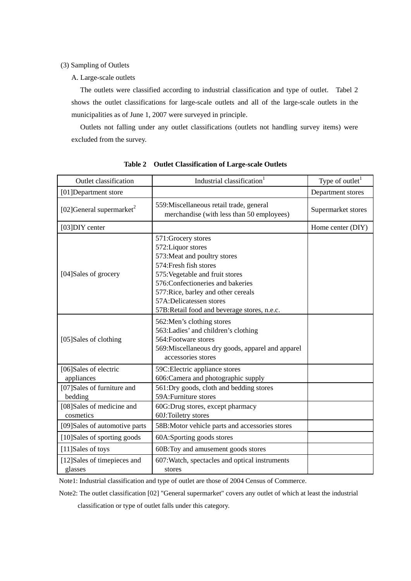(3) Sampling of Outlets

A. Large-scale outlets

The outlets were classified according to industrial classification and type of outlet. Tabel 2 shows the outlet classifications for large-scale outlets and all of the large-scale outlets in the municipalities as of June 1, 2007 were surveyed in principle.

Outlets not falling under any outlet classifications (outlets not handling survey items) were excluded from the survey.

| <b>Outlet classification</b>           | Industrial classification <sup>1</sup>                                                                                                                                                                                                                                                       | Type of outlet <sup>1</sup> |
|----------------------------------------|----------------------------------------------------------------------------------------------------------------------------------------------------------------------------------------------------------------------------------------------------------------------------------------------|-----------------------------|
| [01] Department store                  |                                                                                                                                                                                                                                                                                              | Department stores           |
| [02] General supermarket <sup>2</sup>  | 559: Miscellaneous retail trade, general<br>merchandise (with less than 50 employees)                                                                                                                                                                                                        | Supermarket stores          |
| [03]DIY center                         |                                                                                                                                                                                                                                                                                              | Home center (DIY)           |
| [04]Sales of grocery                   | 571: Grocery stores<br>572: Liquor stores<br>573: Meat and poultry stores<br>574: Fresh fish stores<br>575: Vegetable and fruit stores<br>576: Confectioneries and bakeries<br>577: Rice, barley and other cereals<br>57A:Delicatessen stores<br>57B:Retail food and beverage stores, n.e.c. |                             |
| [05]Sales of clothing                  | 562: Men's clothing stores<br>563: Ladies' and children's clothing<br>564: Footware stores<br>569: Miscellaneous dry goods, apparel and apparel<br>accessories stores                                                                                                                        |                             |
| [06]Sales of electric<br>appliances    | 59C: Electric appliance stores<br>606: Camera and photographic supply                                                                                                                                                                                                                        |                             |
| [07]Sales of furniture and<br>bedding  | 561:Dry goods, cloth and bedding stores<br>59A: Furniture stores                                                                                                                                                                                                                             |                             |
| [08]Sales of medicine and<br>cosmetics | 60G:Drug stores, except pharmacy<br>60J:Toiletry stores                                                                                                                                                                                                                                      |                             |
| [09] Sales of automotive parts         | 58B: Motor vehicle parts and accessories stores                                                                                                                                                                                                                                              |                             |
| [10]Sales of sporting goods            | 60A:Sporting goods stores                                                                                                                                                                                                                                                                    |                             |
| [11]Sales of toys                      | 60B: Toy and amusement goods stores                                                                                                                                                                                                                                                          |                             |
| [12]Sales of timepieces and<br>glasses | 607: Watch, spectacles and optical instruments<br>stores                                                                                                                                                                                                                                     |                             |

|  |  | Table 2 Outlet Classification of Large-scale Outlets |  |  |  |
|--|--|------------------------------------------------------|--|--|--|
|--|--|------------------------------------------------------|--|--|--|

Note1: Industrial classification and type of outlet are those of 2004 Census of Commerce.

Note2: The outlet classification [02] "General supermarket" covers any outlet of which at least the industrial

classification or type of outlet falls under this category.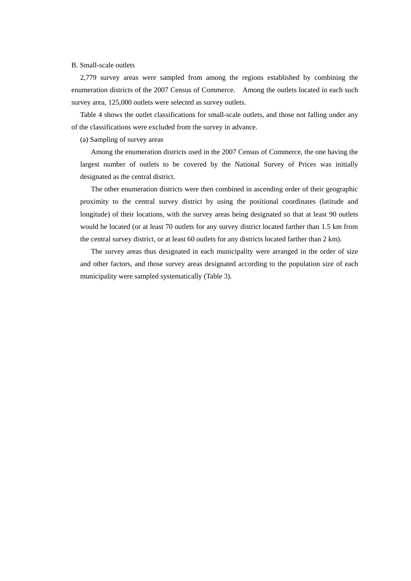# B. Small-scale outlets

2,779 survey areas were sampled from among the regions established by combining the enumeration districts of the 2007 Census of Commerce. Among the outlets located in each such survey area, 125,000 outlets were selected as survey outlets.

Table 4 shows the outlet classifications for small-scale outlets, and those not falling under any of the classifications were excluded from the survey in advance.

(a) Sampling of survey areas

Among the enumeration districts used in the 2007 Census of Commerce, the one having the largest number of outlets to be covered by the National Survey of Prices was initially designated as the central district.

The other enumeration districts were then combined in ascending order of their geographic proximity to the central survey district by using the positional coordinates (latitude and longitude) of their locations, with the survey areas being designated so that at least 90 outlets would be located (or at least 70 outlets for any survey district located farther than 1.5 km from the central survey district, or at least 60 outlets for any districts located farther than 2 km).

The survey areas thus designated in each municipality were arranged in the order of size and other factors, and those survey areas designated according to the population size of each municipality were sampled systematically (Table 3).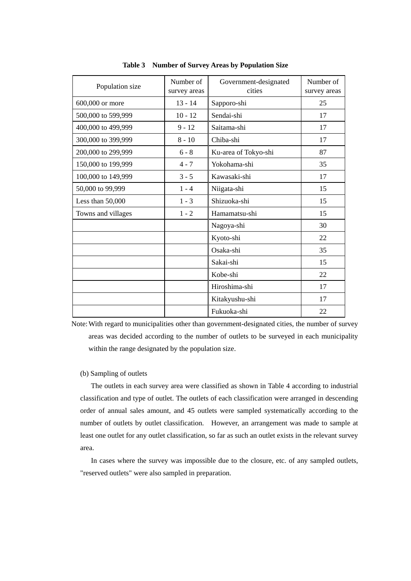| Population size    | Number of<br>survey areas | Government-designated<br>cities | Number of<br>survey areas |
|--------------------|---------------------------|---------------------------------|---------------------------|
| 600,000 or more    | $13 - 14$                 | Sapporo-shi                     | 25                        |
| 500,000 to 599,999 | $10 - 12$                 | Sendai-shi                      | 17                        |
| 400,000 to 499,999 | $9 - 12$                  | Saitama-shi                     | 17                        |
| 300,000 to 399,999 | $8 - 10$                  | Chiba-shi                       | 17                        |
| 200,000 to 299,999 | $6 - 8$                   | Ku-area of Tokyo-shi            | 87                        |
| 150,000 to 199,999 | $4 - 7$                   | Yokohama-shi                    | 35                        |
| 100,000 to 149,999 | $3 - 5$                   | Kawasaki-shi                    | 17                        |
| 50,000 to 99,999   | $1 - 4$                   | Niigata-shi                     | 15                        |
| Less than 50,000   | $1 - 3$                   | Shizuoka-shi                    | 15                        |
| Towns and villages | $1 - 2$                   | Hamamatsu-shi                   | 15                        |
|                    |                           | Nagoya-shi                      | 30                        |
|                    |                           | Kyoto-shi                       | 22                        |
|                    |                           | Osaka-shi                       | 35                        |
|                    |                           | Sakai-shi                       | 15                        |
|                    |                           | Kobe-shi                        | 22                        |
|                    |                           | Hiroshima-shi                   | 17                        |
|                    |                           | Kitakyushu-shi                  | 17                        |
|                    |                           | Fukuoka-shi                     | 22                        |

**Table 3 Number of Survey Areas by Population Size** 

Note: With regard to municipalities other than government-designated cities, the number of survey areas was decided according to the number of outlets to be surveyed in each municipality within the range designated by the population size.

## (b) Sampling of outlets

The outlets in each survey area were classified as shown in Table 4 according to industrial classification and type of outlet. The outlets of each classification were arranged in descending order of annual sales amount, and 45 outlets were sampled systematically according to the number of outlets by outlet classification. However, an arrangement was made to sample at least one outlet for any outlet classification, so far as such an outlet exists in the relevant survey area.

In cases where the survey was impossible due to the closure, etc. of any sampled outlets, "reserved outlets" were also sampled in preparation.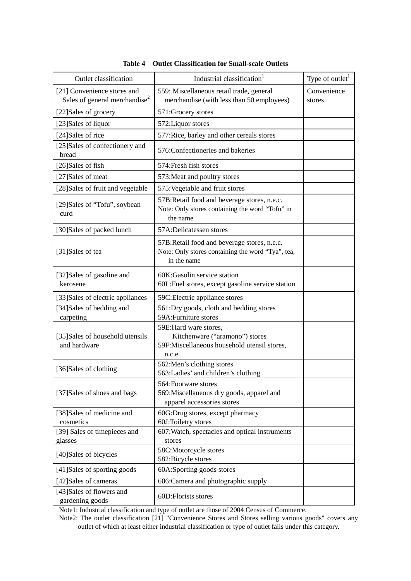| Outlet classification                                                    | Industrial classification <sup>1</sup>                                                                           | Type of outlet <sup>1</sup> |
|--------------------------------------------------------------------------|------------------------------------------------------------------------------------------------------------------|-----------------------------|
| [21] Convenience stores and<br>Sales of general merchandise <sup>2</sup> | 559: Miscellaneous retail trade, general<br>merchandise (with less than 50 employees)                            | Convenience<br>stores       |
| [22]Sales of grocery                                                     | 571: Grocery stores                                                                                              |                             |
| [23]Sales of liquor                                                      | 572: Liquor stores                                                                                               |                             |
| [24]Sales of rice                                                        | 577: Rice, barley and other cereals stores                                                                       |                             |
| [25]Sales of confectionery and<br>bread                                  | 576: Confectioneries and bakeries                                                                                |                             |
| [26]Sales of fish                                                        | 574: Fresh fish stores                                                                                           |                             |
| [27]Sales of meat                                                        | 573: Meat and poultry stores                                                                                     |                             |
| [28]Sales of fruit and vegetable                                         | 575: Vegetable and fruit stores                                                                                  |                             |
| [29] Sales of "Tofu", soybean<br>curd                                    | 57B: Retail food and beverage stores, n.e.c.<br>Note: Only stores containing the word "Tofu" in<br>the name      |                             |
| [30]Sales of packed lunch                                                | 57A:Delicatessen stores                                                                                          |                             |
| [31]Sales of tea                                                         | 57B: Retail food and beverage stores, n.e.c.<br>Note: Only stores containing the word "Tya", tea,<br>in the name |                             |
| [32]Sales of gasoline and<br>kerosene                                    | 60K:Gasolin service station<br>60L: Fuel stores, except gasoline service station                                 |                             |
| [33] Sales of electric appliances                                        | 59C: Electric appliance stores                                                                                   |                             |
| [34]Sales of bedding and<br>carpeting                                    | 561:Dry goods, cloth and bedding stores<br>59A: Furniture stores                                                 |                             |
| [35] Sales of household utensils<br>and hardware                         | 59E:Hard ware stores,<br>Kitchenware ("aramono") stores<br>59F:Miscellaneous household utensil stores,<br>n.c.e. |                             |
| [36]Sales of clothing                                                    | 562: Men's clothing stores<br>563: Ladies' and children's clothing                                               |                             |
| [37] Sales of shoes and bags                                             | 564: Footware stores<br>569: Miscellaneous dry goods, apparel and<br>apparel accessories stores                  |                             |
| [38]Sales of medicine and<br>cosmetics                                   | 60G:Drug stores, except pharmacy<br>60J:Toiletry stores                                                          |                             |
| [39] Sales of timepieces and<br>glasses                                  | 607: Watch, spectacles and optical instruments<br>stores                                                         |                             |
| [40]Sales of bicycles                                                    | 58C:Motorcycle stores<br>582:Bicycle stores                                                                      |                             |
| [41] Sales of sporting goods                                             | 60A:Sporting goods stores                                                                                        |                             |
| [42]Sales of cameras                                                     | 606: Camera and photographic supply                                                                              |                             |
| [43] Sales of flowers and<br>gardening goods                             | 60D: Florists stores                                                                                             |                             |

| <b>Table 4 Outlet Classification for Small-scale Outlets</b> |  |  |  |  |  |  |
|--------------------------------------------------------------|--|--|--|--|--|--|
|--------------------------------------------------------------|--|--|--|--|--|--|

Note1: Industrial classification and type of outlet are those of 2004 Census of Commerce.

Note2: The outlet classification [21] "Convenience Stores and Stores selling various goods" covers any outlet of which at least either industrial classification or type of outlet falls under this category.